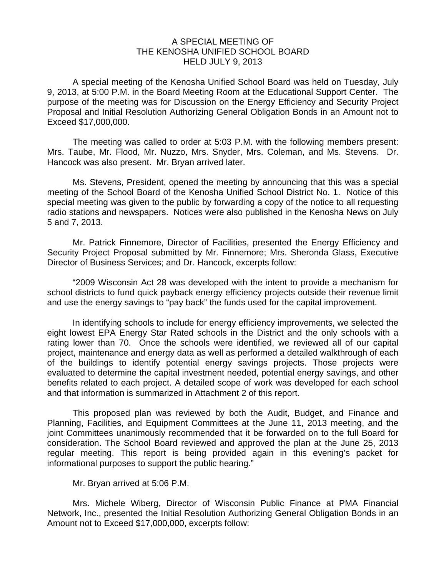## A SPECIAL MEETING OF THE KENOSHA UNIFIED SCHOOL BOARD HELD JULY 9, 2013

 A special meeting of the Kenosha Unified School Board was held on Tuesday, July 9, 2013, at 5:00 P.M. in the Board Meeting Room at the Educational Support Center. The purpose of the meeting was for Discussion on the Energy Efficiency and Security Project Proposal and Initial Resolution Authorizing General Obligation Bonds in an Amount not to Exceed \$17,000,000.

 The meeting was called to order at 5:03 P.M. with the following members present: Mrs. Taube, Mr. Flood, Mr. Nuzzo, Mrs. Snyder, Mrs. Coleman, and Ms. Stevens. Dr. Hancock was also present. Mr. Bryan arrived later.

 Ms. Stevens, President, opened the meeting by announcing that this was a special meeting of the School Board of the Kenosha Unified School District No. 1. Notice of this special meeting was given to the public by forwarding a copy of the notice to all requesting radio stations and newspapers. Notices were also published in the Kenosha News on July 5 and 7, 2013.

 Mr. Patrick Finnemore, Director of Facilities, presented the Energy Efficiency and Security Project Proposal submitted by Mr. Finnemore; Mrs. Sheronda Glass, Executive Director of Business Services; and Dr. Hancock, excerpts follow:

 "2009 Wisconsin Act 28 was developed with the intent to provide a mechanism for school districts to fund quick payback energy efficiency projects outside their revenue limit and use the energy savings to "pay back" the funds used for the capital improvement.

 In identifying schools to include for energy efficiency improvements, we selected the eight lowest EPA Energy Star Rated schools in the District and the only schools with a rating lower than 70. Once the schools were identified, we reviewed all of our capital project, maintenance and energy data as well as performed a detailed walkthrough of each of the buildings to identify potential energy savings projects. Those projects were evaluated to determine the capital investment needed, potential energy savings, and other benefits related to each project. A detailed scope of work was developed for each school and that information is summarized in Attachment 2 of this report.

 This proposed plan was reviewed by both the Audit, Budget, and Finance and Planning, Facilities, and Equipment Committees at the June 11, 2013 meeting, and the joint Committees unanimously recommended that it be forwarded on to the full Board for consideration. The School Board reviewed and approved the plan at the June 25, 2013 regular meeting. This report is being provided again in this evening's packet for informational purposes to support the public hearing."

## Mr. Bryan arrived at 5:06 P.M.

 Mrs. Michele Wiberg, Director of Wisconsin Public Finance at PMA Financial Network, Inc., presented the Initial Resolution Authorizing General Obligation Bonds in an Amount not to Exceed \$17,000,000, excerpts follow: